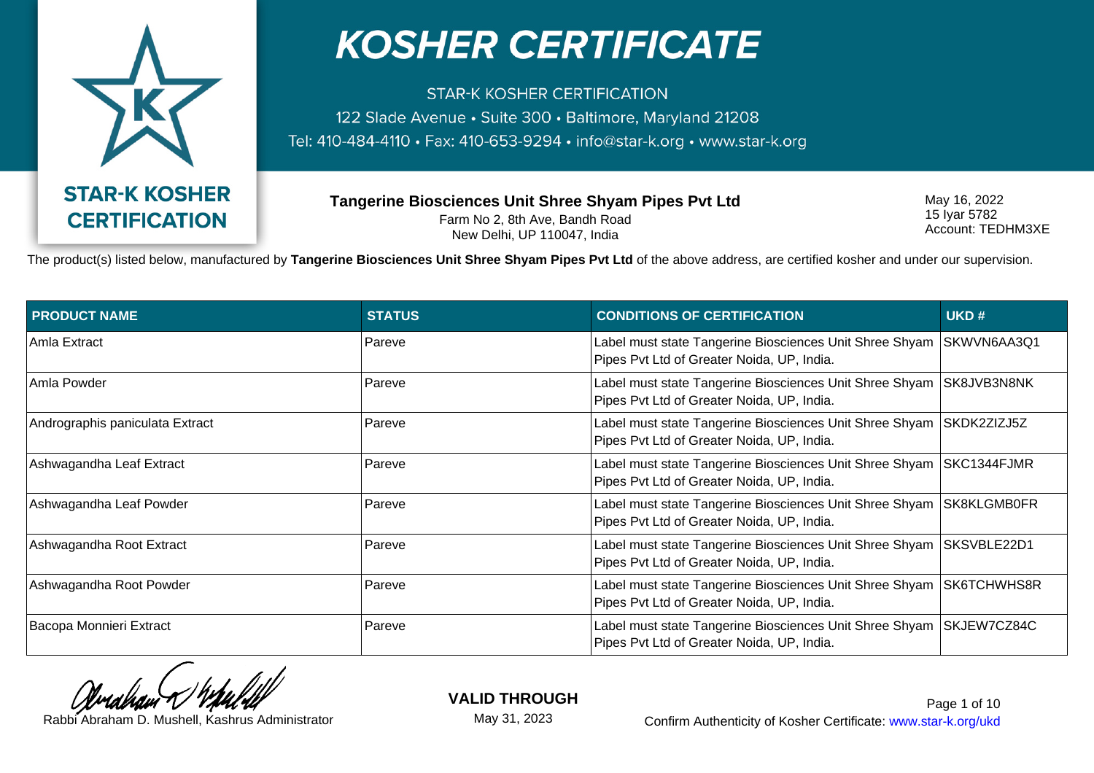

**STAR-K KOSHER CERTIFICATION** 122 Slade Avenue · Suite 300 · Baltimore, Maryland 21208 Tel: 410-484-4110 · Fax: 410-653-9294 · info@star-k.org · www.star-k.org

**Tangerine Biosciences Unit Shree Shyam Pipes Pvt Ltd** Farm No 2, 8th Ave, Bandh Road New Delhi, UP 110047, India

May 16, 2022 15 Iyar 5782 Account: TEDHM3XE

The product(s) listed below, manufactured by **Tangerine Biosciences Unit Shree Shyam Pipes Pvt Ltd** of the above address, are certified kosher and under our supervision.

| <b>PRODUCT NAME</b>             | <b>STATUS</b> | <b>CONDITIONS OF CERTIFICATION</b>                                                                                  | UKD#        |
|---------------------------------|---------------|---------------------------------------------------------------------------------------------------------------------|-------------|
| Amla Extract                    | Pareve        | Label must state Tangerine Biosciences Unit Shree Shyam<br>Pipes Pvt Ltd of Greater Noida, UP, India.               | SKWVN6AA3Q1 |
| Amla Powder                     | Pareve        | Label must state Tangerine Biosciences Unit Shree Shyam   SK8JVB3N8NK<br>Pipes Pvt Ltd of Greater Noida, UP, India. |             |
| Andrographis paniculata Extract | Pareve        | Label must state Tangerine Biosciences Unit Shree Shyam SKDK2ZIZJ5Z<br>Pipes Pvt Ltd of Greater Noida, UP, India.   |             |
| Ashwagandha Leaf Extract        | Pareve        | Label must state Tangerine Biosciences Unit Shree Shyam SKC1344FJMR<br>Pipes Pvt Ltd of Greater Noida, UP, India.   |             |
| Ashwagandha Leaf Powder         | Pareve        | Label must state Tangerine Biosciences Unit Shree Shyam SK8KLGMB0FR<br>Pipes Pvt Ltd of Greater Noida, UP, India.   |             |
| Ashwagandha Root Extract        | Pareve        | Label must state Tangerine Biosciences Unit Shree Shyam   SKSVBLE22D1<br>Pipes Pvt Ltd of Greater Noida, UP, India. |             |
| Ashwagandha Root Powder         | Pareve        | Label must state Tangerine Biosciences Unit Shree Shyam   SK6TCHWHS8R<br>Pipes Pvt Ltd of Greater Noida, UP, India. |             |
| Bacopa Monnieri Extract         | Pareve        | Label must state Tangerine Biosciences Unit Shree Shyam SKJEW7CZ84C<br>Pipes Pvt Ltd of Greater Noida, UP, India.   |             |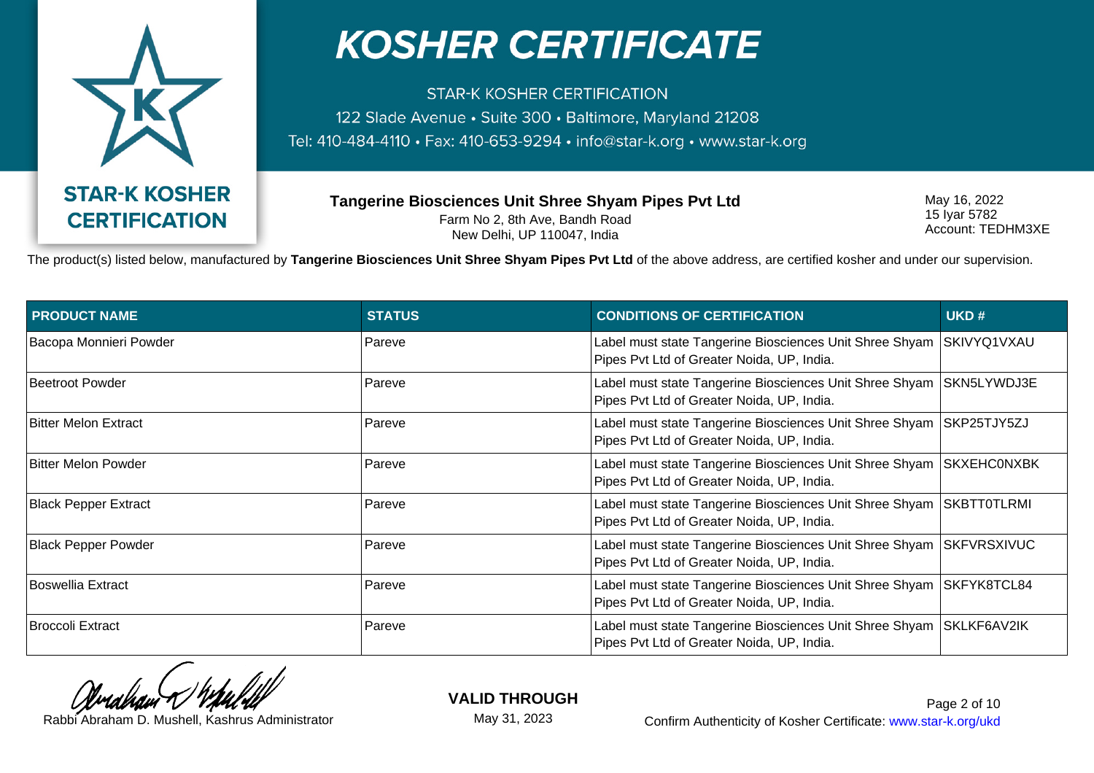

**STAR-K KOSHER CERTIFICATION** 122 Slade Avenue · Suite 300 · Baltimore, Maryland 21208 Tel: 410-484-4110 · Fax: 410-653-9294 · info@star-k.org · www.star-k.org

**Tangerine Biosciences Unit Shree Shyam Pipes Pvt Ltd** Farm No 2, 8th Ave, Bandh Road New Delhi, UP 110047, India

May 16, 2022 15 Iyar 5782 Account: TEDHM3XE

The product(s) listed below, manufactured by **Tangerine Biosciences Unit Shree Shyam Pipes Pvt Ltd** of the above address, are certified kosher and under our supervision.

| <b>PRODUCT NAME</b>         | <b>STATUS</b> | <b>CONDITIONS OF CERTIFICATION</b>                                                                    | UKD#               |
|-----------------------------|---------------|-------------------------------------------------------------------------------------------------------|--------------------|
| Bacopa Monnieri Powder      | Pareve        | Label must state Tangerine Biosciences Unit Shree Shyam<br>Pipes Pvt Ltd of Greater Noida, UP, India. | SKIVYQ1VXAU        |
| Beetroot Powder             | Pareve        | Label must state Tangerine Biosciences Unit Shree Shyam<br>Pipes Pvt Ltd of Greater Noida, UP, India. | SKN5LYWDJ3E        |
| Bitter Melon Extract        | Pareve        | Label must state Tangerine Biosciences Unit Shree Shyam<br>Pipes Pvt Ltd of Greater Noida, UP, India. | SKP25TJY5ZJ        |
| Bitter Melon Powder         | Pareve        | Label must state Tangerine Biosciences Unit Shree Shyam<br>Pipes Pvt Ltd of Greater Noida, UP, India. | <b>SKXEHCONXBK</b> |
| <b>Black Pepper Extract</b> | Pareve        | Label must state Tangerine Biosciences Unit Shree Shyam<br>Pipes Pvt Ltd of Greater Noida, UP, India. | SKBTT0TLRMI        |
| <b>Black Pepper Powder</b>  | Pareve        | Label must state Tangerine Biosciences Unit Shree Shyam<br>Pipes Pvt Ltd of Greater Noida, UP, India. | SKFVRSXIVUC        |
| Boswellia Extract           | Pareve        | Label must state Tangerine Biosciences Unit Shree Shyam<br>Pipes Pvt Ltd of Greater Noida, UP, India. | SKFYK8TCL84        |
| Broccoli Extract            | Pareve        | Label must state Tangerine Biosciences Unit Shree Shyam<br>Pipes Pvt Ltd of Greater Noida, UP, India. | <b>SKLKF6AV2IK</b> |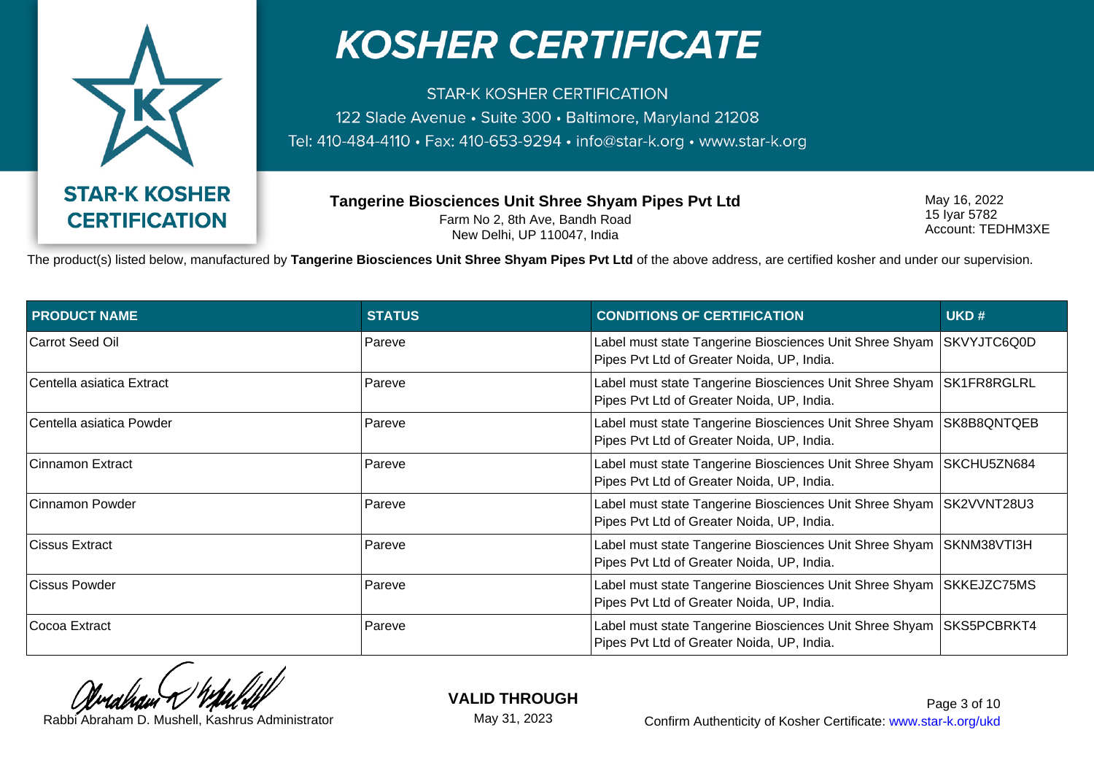

**STAR-K KOSHER CERTIFICATION** 122 Slade Avenue · Suite 300 · Baltimore, Maryland 21208 Tel: 410-484-4110 · Fax: 410-653-9294 · info@star-k.org · www.star-k.org

**Tangerine Biosciences Unit Shree Shyam Pipes Pvt Ltd** Farm No 2, 8th Ave, Bandh Road New Delhi, UP 110047, India

May 16, 2022 15 Iyar 5782 Account: TEDHM3XE

The product(s) listed below, manufactured by **Tangerine Biosciences Unit Shree Shyam Pipes Pvt Ltd** of the above address, are certified kosher and under our supervision.

| <b>PRODUCT NAME</b>       | <b>STATUS</b> | <b>CONDITIONS OF CERTIFICATION</b>                                                                                  | UKD#        |
|---------------------------|---------------|---------------------------------------------------------------------------------------------------------------------|-------------|
| Carrot Seed Oil           | Pareve        | Label must state Tangerine Biosciences Unit Shree Shyam<br>Pipes Pvt Ltd of Greater Noida, UP, India.               | SKVYJTC6Q0D |
| Centella asiatica Extract | Pareve        | Label must state Tangerine Biosciences Unit Shree Shyam   SK1FR8RGLRL<br>Pipes Pvt Ltd of Greater Noida, UP, India. |             |
| Centella asiatica Powder  | Pareve        | Label must state Tangerine Biosciences Unit Shree Shyam   SK8B8QNTQEB<br>Pipes Pvt Ltd of Greater Noida, UP, India. |             |
| Cinnamon Extract          | Pareve        | Label must state Tangerine Biosciences Unit Shree Shyam<br>Pipes Pvt Ltd of Greater Noida, UP, India.               | SKCHU5ZN684 |
| Cinnamon Powder           | Pareve        | Label must state Tangerine Biosciences Unit Shree Shyam SK2VVNT28U3<br>Pipes Pvt Ltd of Greater Noida, UP, India.   |             |
| ∣Cissus Extract           | Pareve        | Label must state Tangerine Biosciences Unit Shree Shyam   SKNM38VTI3H<br>Pipes Pvt Ltd of Greater Noida, UP, India. |             |
| Cissus Powder             | Pareve        | Label must state Tangerine Biosciences Unit Shree Shyam<br>Pipes Pvt Ltd of Greater Noida, UP, India.               | SKKEJZC75MS |
| Cocoa Extract             | Pareve        | Label must state Tangerine Biosciences Unit Shree Shyam SKS5PCBRKT4<br>Pipes Pvt Ltd of Greater Noida, UP, India.   |             |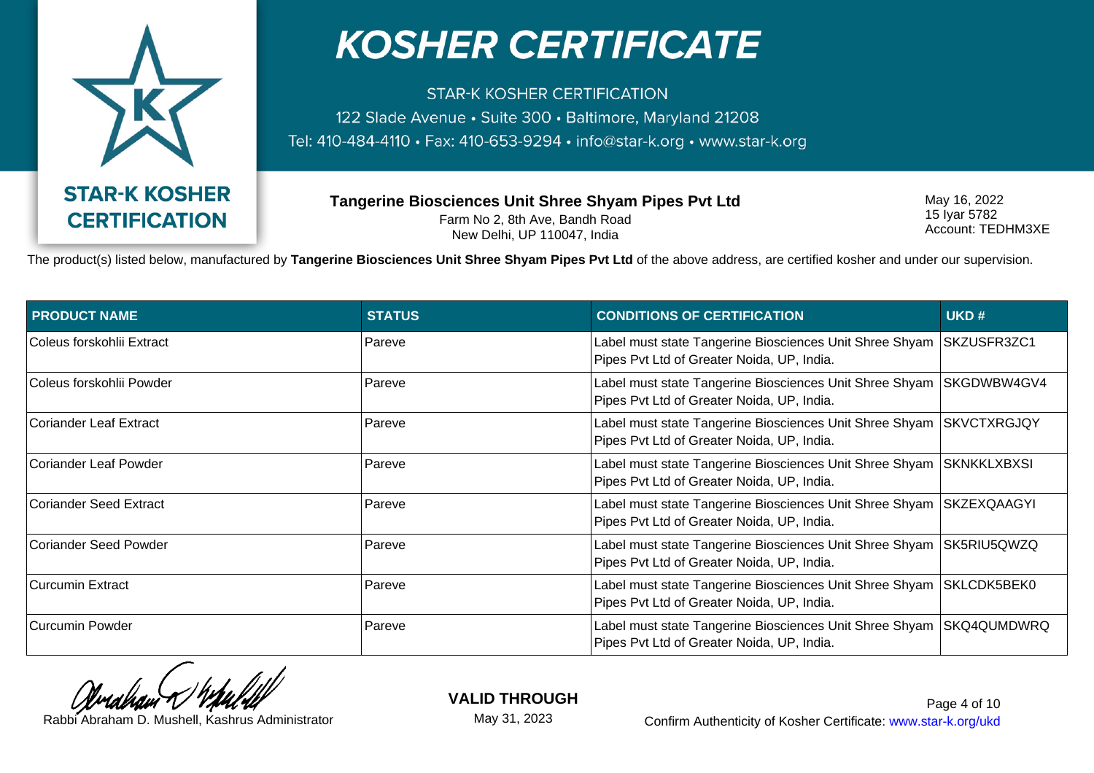

**STAR-K KOSHER CERTIFICATION** 122 Slade Avenue · Suite 300 · Baltimore, Maryland 21208 Tel: 410-484-4110 · Fax: 410-653-9294 · info@star-k.org · www.star-k.org

**Tangerine Biosciences Unit Shree Shyam Pipes Pvt Ltd** Farm No 2, 8th Ave, Bandh Road New Delhi, UP 110047, India

May 16, 2022 15 Iyar 5782 Account: TEDHM3XE

The product(s) listed below, manufactured by **Tangerine Biosciences Unit Shree Shyam Pipes Pvt Ltd** of the above address, are certified kosher and under our supervision.

| <b>PRODUCT NAME</b>       | <b>STATUS</b> | <b>CONDITIONS OF CERTIFICATION</b>                                                                                  | UKD# |
|---------------------------|---------------|---------------------------------------------------------------------------------------------------------------------|------|
| Coleus forskohlii Extract | Pareve        | Label must state Tangerine Biosciences Unit Shree Shyam SKZUSFR3ZC1<br>Pipes Pvt Ltd of Greater Noida, UP, India.   |      |
| ⊺Coleus forskohlii Powder | Pareve        | Label must state Tangerine Biosciences Unit Shree Shyam   SKGDWBW4GV4<br>Pipes Pvt Ltd of Greater Noida, UP, India. |      |
| Coriander Leaf Extract    | Pareve        | Label must state Tangerine Biosciences Unit Shree Shyam SKVCTXRGJQY<br>Pipes Pvt Ltd of Greater Noida, UP, India.   |      |
| Coriander Leaf Powder     | Pareve        | Label must state Tangerine Biosciences Unit Shree Shyam SKNKKLXBXSI<br>Pipes Pvt Ltd of Greater Noida, UP, India.   |      |
| Coriander Seed Extract    | Pareve        | Label must state Tangerine Biosciences Unit Shree Shyam   SKZEXQAAGYI<br>Pipes Pvt Ltd of Greater Noida, UP, India. |      |
| Coriander Seed Powder     | Pareve        | Label must state Tangerine Biosciences Unit Shree Shyam SK5RIU5QWZQ<br>Pipes Pvt Ltd of Greater Noida, UP, India.   |      |
| Curcumin Extract          | Pareve        | Label must state Tangerine Biosciences Unit Shree Shyam SKLCDK5BEK0<br>Pipes Pvt Ltd of Greater Noida, UP, India.   |      |
| Curcumin Powder           | Pareve        | Label must state Tangerine Biosciences Unit Shree Shyam SKQ4QUMDWRQ<br>Pipes Pvt Ltd of Greater Noida, UP, India.   |      |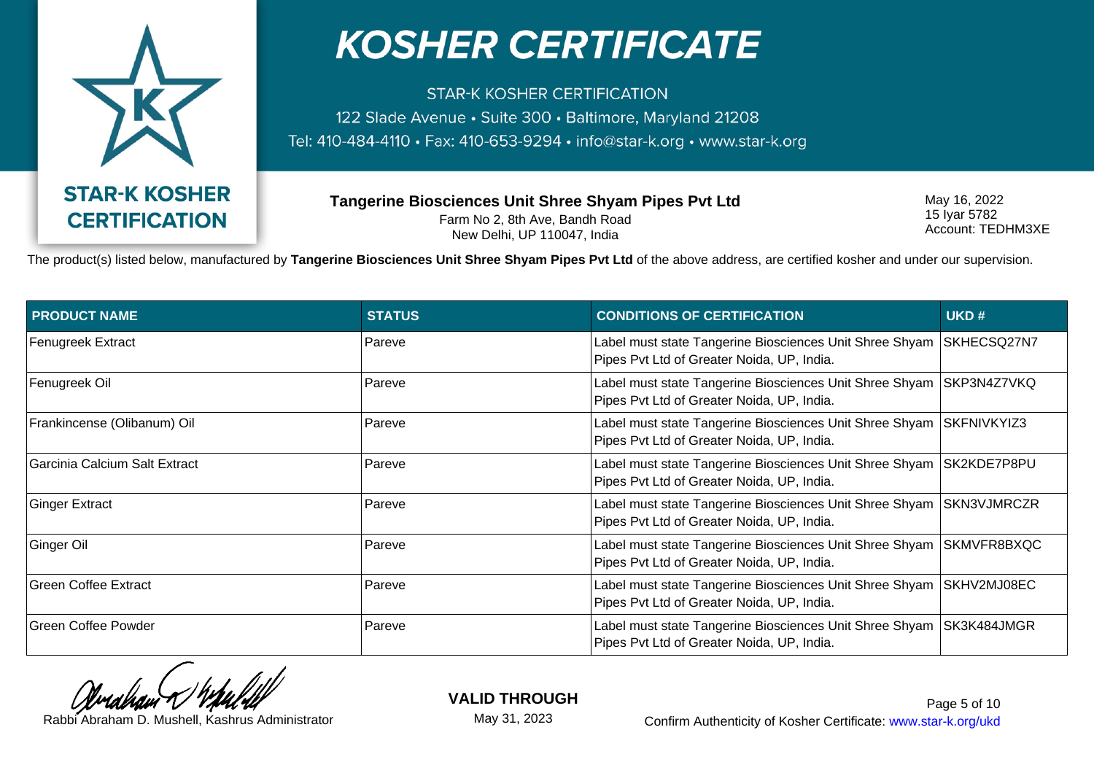

**STAR-K KOSHER CERTIFICATION** 122 Slade Avenue · Suite 300 · Baltimore, Maryland 21208 Tel: 410-484-4110 · Fax: 410-653-9294 · info@star-k.org · www.star-k.org

**Tangerine Biosciences Unit Shree Shyam Pipes Pvt Ltd** Farm No 2, 8th Ave, Bandh Road New Delhi, UP 110047, India

May 16, 2022 15 Iyar 5782 Account: TEDHM3XE

The product(s) listed below, manufactured by **Tangerine Biosciences Unit Shree Shyam Pipes Pvt Ltd** of the above address, are certified kosher and under our supervision.

| <b>PRODUCT NAME</b>           | <b>STATUS</b> | <b>CONDITIONS OF CERTIFICATION</b>                                                                                  | UKD#        |
|-------------------------------|---------------|---------------------------------------------------------------------------------------------------------------------|-------------|
| <b>Fenugreek Extract</b>      | Pareve        | Label must state Tangerine Biosciences Unit Shree Shyam<br>Pipes Pvt Ltd of Greater Noida, UP, India.               | SKHECSQ27N7 |
| Fenugreek Oil                 | Pareve        | Label must state Tangerine Biosciences Unit Shree Shyam SKP3N4Z7VKQ<br>Pipes Pvt Ltd of Greater Noida, UP, India.   |             |
| Frankincense (Olibanum) Oil   | Pareve        | Label must state Tangerine Biosciences Unit Shree Shyam   SKFNIVKYIZ3<br>Pipes Pvt Ltd of Greater Noida, UP, India. |             |
| Garcinia Calcium Salt Extract | Pareve        | Label must state Tangerine Biosciences Unit Shree Shyam   SK2KDE7P8PU<br>Pipes Pvt Ltd of Greater Noida, UP, India. |             |
| <b>Ginger Extract</b>         | Pareve        | Label must state Tangerine Biosciences Unit Shree Shyam   SKN3VJMRCZR<br>Pipes Pvt Ltd of Greater Noida, UP, India. |             |
| Ginger Oil                    | Pareve        | Label must state Tangerine Biosciences Unit Shree Shyam   SKMVFR8BXQC<br>Pipes Pvt Ltd of Greater Noida, UP, India. |             |
| <b>Green Coffee Extract</b>   | Pareve        | Label must state Tangerine Biosciences Unit Shree Shyam   SKHV2MJ08EC<br>Pipes Pvt Ltd of Greater Noida, UP, India. |             |
| <b>Green Coffee Powder</b>    | Pareve        | Label must state Tangerine Biosciences Unit Shree Shyam   SK3K484JMGR<br>Pipes Pvt Ltd of Greater Noida, UP, India. |             |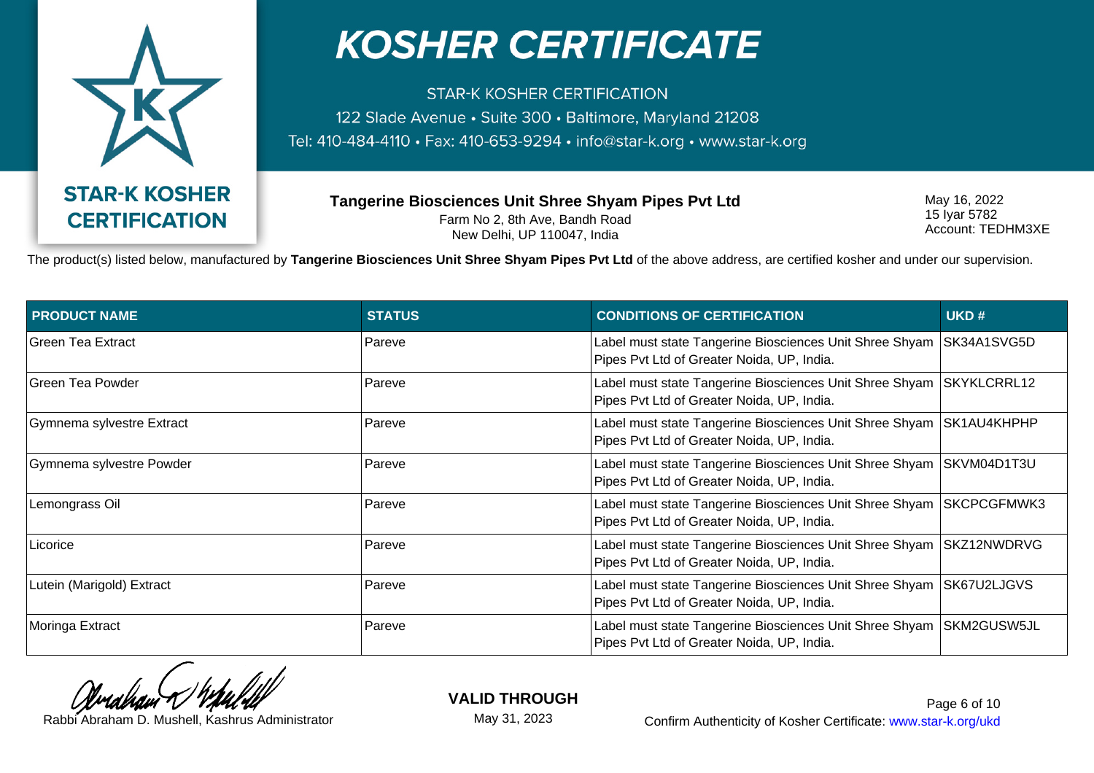

**STAR-K KOSHER CERTIFICATION** 122 Slade Avenue · Suite 300 · Baltimore, Maryland 21208 Tel: 410-484-4110 · Fax: 410-653-9294 · info@star-k.org · www.star-k.org

**Tangerine Biosciences Unit Shree Shyam Pipes Pvt Ltd** Farm No 2, 8th Ave, Bandh Road New Delhi, UP 110047, India

May 16, 2022 15 Iyar 5782 Account: TEDHM3XE

The product(s) listed below, manufactured by **Tangerine Biosciences Unit Shree Shyam Pipes Pvt Ltd** of the above address, are certified kosher and under our supervision.

| <b>PRODUCT NAME</b>       | <b>STATUS</b> | <b>CONDITIONS OF CERTIFICATION</b>                                                                                  | UKD#        |
|---------------------------|---------------|---------------------------------------------------------------------------------------------------------------------|-------------|
| Green Tea Extract         | Pareve        | Label must state Tangerine Biosciences Unit Shree Shyam<br>Pipes Pvt Ltd of Greater Noida, UP, India.               | SK34A1SVG5D |
| <b>Green Tea Powder</b>   | Pareve        | Label must state Tangerine Biosciences Unit Shree Shyam<br>Pipes Pvt Ltd of Greater Noida, UP, India.               | SKYKLCRRL12 |
| Gymnema sylvestre Extract | Pareve        | Label must state Tangerine Biosciences Unit Shree Shyam<br>Pipes Pvt Ltd of Greater Noida, UP, India.               | SK1AU4KHPHP |
| Gymnema sylvestre Powder  | Pareve        | Label must state Tangerine Biosciences Unit Shree Shyam<br>Pipes Pvt Ltd of Greater Noida, UP, India.               | SKVM04D1T3U |
| Lemongrass Oil            | Pareve        | Label must state Tangerine Biosciences Unit Shree Shyam<br>Pipes Pvt Ltd of Greater Noida, UP, India.               | SKCPCGFMWK3 |
| Licorice                  | Pareve        | Label must state Tangerine Biosciences Unit Shree Shyam<br>Pipes Pvt Ltd of Greater Noida, UP, India.               | SKZ12NWDRVG |
| Lutein (Marigold) Extract | Pareve        | Label must state Tangerine Biosciences Unit Shree Shyam<br>Pipes Pvt Ltd of Greater Noida, UP, India.               | SK67U2LJGVS |
| Moringa Extract           | Pareve        | Label must state Tangerine Biosciences Unit Shree Shyam   SKM2GUSW5JL<br>Pipes Pvt Ltd of Greater Noida, UP, India. |             |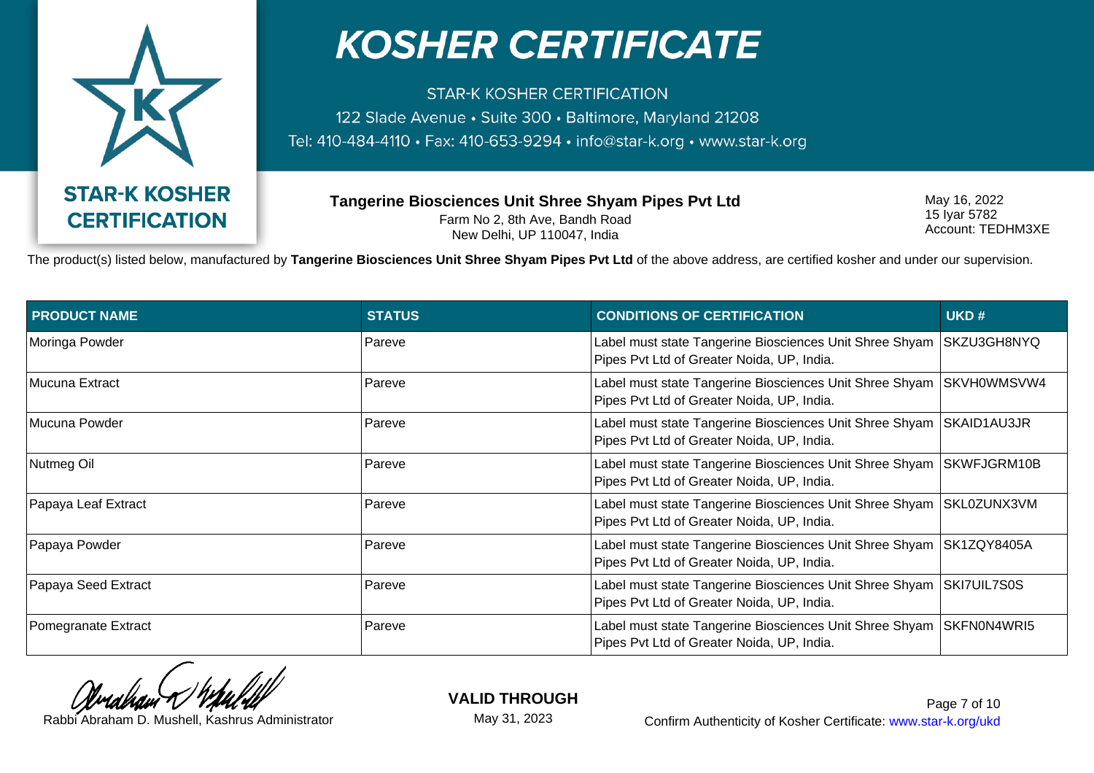

**STAR-K KOSHER CERTIFICATION** 122 Slade Avenue · Suite 300 · Baltimore, Maryland 21208 Tel: 410-484-4110 · Fax: 410-653-9294 · info@star-k.org · www.star-k.org

**Tangerine Biosciences Unit Shree Shyam Pipes Pvt Ltd** Farm No 2, 8th Ave, Bandh Road New Delhi, UP 110047, India

May 16, 2022 15 Iyar 5782 Account: TEDHM3XE

The product(s) listed below, manufactured by **Tangerine Biosciences Unit Shree Shyam Pipes Pvt Ltd** of the above address, are certified kosher and under our supervision.

| <b>PRODUCT NAME</b> | <b>STATUS</b> | <b>CONDITIONS OF CERTIFICATION</b>                                                                                  | UKD#        |
|---------------------|---------------|---------------------------------------------------------------------------------------------------------------------|-------------|
| Moringa Powder      | Pareve        | Label must state Tangerine Biosciences Unit Shree Shyam<br>Pipes Pvt Ltd of Greater Noida, UP, India.               | SKZU3GH8NYQ |
| Mucuna Extract      | Pareve        | Label must state Tangerine Biosciences Unit Shree Shyam<br>Pipes Pvt Ltd of Greater Noida, UP, India.               | SKVH0WMSVW4 |
| Mucuna Powder       | Pareve        | Label must state Tangerine Biosciences Unit Shree Shyam SKAID1AU3JR<br>Pipes Pvt Ltd of Greater Noida, UP, India.   |             |
| Nutmeg Oil          | Pareve        | Label must state Tangerine Biosciences Unit Shree Shyam<br>Pipes Pvt Ltd of Greater Noida, UP, India.               | SKWFJGRM10B |
| Papaya Leaf Extract | Pareve        | Label must state Tangerine Biosciences Unit Shree Shyam SKL0ZUNX3VM<br>Pipes Pvt Ltd of Greater Noida, UP, India.   |             |
| Papaya Powder       | Pareve        | Label must state Tangerine Biosciences Unit Shree Shyam   SK1ZQY8405A<br>Pipes Pvt Ltd of Greater Noida, UP, India. |             |
| Papaya Seed Extract | Pareve        | Label must state Tangerine Biosciences Unit Shree Shyam<br>Pipes Pvt Ltd of Greater Noida, UP, India.               | SKI7UIL7S0S |
| Pomegranate Extract | Pareve        | Label must state Tangerine Biosciences Unit Shree Shyam   SKFN0N4WRI5<br>Pipes Pvt Ltd of Greater Noida, UP, India. |             |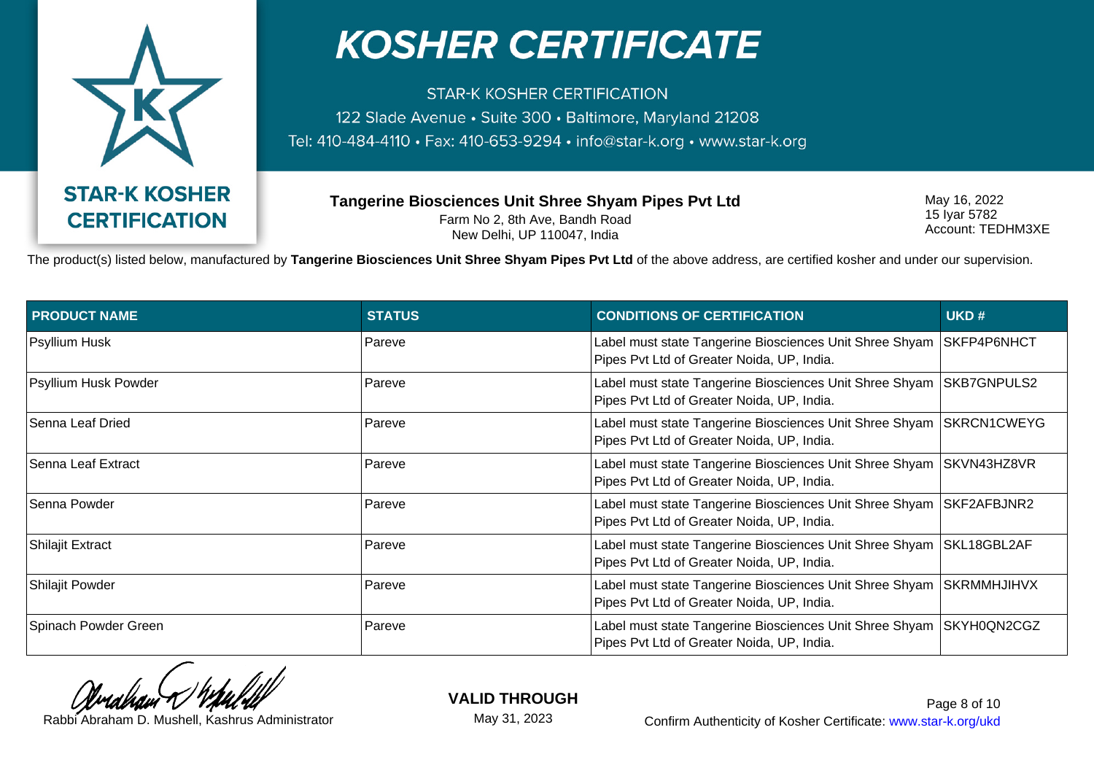

**STAR-K KOSHER CERTIFICATION** 122 Slade Avenue · Suite 300 · Baltimore, Maryland 21208 Tel: 410-484-4110 · Fax: 410-653-9294 · info@star-k.org · www.star-k.org

**Tangerine Biosciences Unit Shree Shyam Pipes Pvt Ltd** Farm No 2, 8th Ave, Bandh Road New Delhi, UP 110047, India

May 16, 2022 15 Iyar 5782 Account: TEDHM3XE

The product(s) listed below, manufactured by **Tangerine Biosciences Unit Shree Shyam Pipes Pvt Ltd** of the above address, are certified kosher and under our supervision.

| <b>PRODUCT NAME</b>     | <b>STATUS</b> | <b>CONDITIONS OF CERTIFICATION</b>                                                                                  | UKD#               |
|-------------------------|---------------|---------------------------------------------------------------------------------------------------------------------|--------------------|
| Psyllium Husk           | Pareve        | Label must state Tangerine Biosciences Unit Shree Shyam<br>Pipes Pvt Ltd of Greater Noida, UP, India.               | SKFP4P6NHCT        |
| Psyllium Husk Powder    | Pareve        | Label must state Tangerine Biosciences Unit Shree Shyam<br>Pipes Pvt Ltd of Greater Noida, UP, India.               | SKB7GNPULS2        |
| Senna Leaf Dried        | Pareve        | Label must state Tangerine Biosciences Unit Shree Shyam<br>Pipes Pvt Ltd of Greater Noida, UP, India.               | SKRCN1CWEYG        |
| Senna Leaf Extract      | Pareve        | Label must state Tangerine Biosciences Unit Shree Shyam<br>Pipes Pvt Ltd of Greater Noida, UP, India.               | SKVN43HZ8VR        |
| Senna Powder            | Pareve        | Label must state Tangerine Biosciences Unit Shree Shyam<br>Pipes Pvt Ltd of Greater Noida, UP, India.               | <b>SKF2AFBJNR2</b> |
| <b>Shilajit Extract</b> | Pareve        | Label must state Tangerine Biosciences Unit Shree Shyam<br>Pipes Pvt Ltd of Greater Noida, UP, India.               | SKL18GBL2AF        |
| Shilajit Powder         | Pareve        | Label must state Tangerine Biosciences Unit Shree Shyam<br>Pipes Pvt Ltd of Greater Noida, UP, India.               | <b>SKRMMHJIHVX</b> |
| Spinach Powder Green    | Pareve        | Label must state Tangerine Biosciences Unit Shree Shyam   SKYH0QN2CGZ<br>Pipes Pvt Ltd of Greater Noida, UP, India. |                    |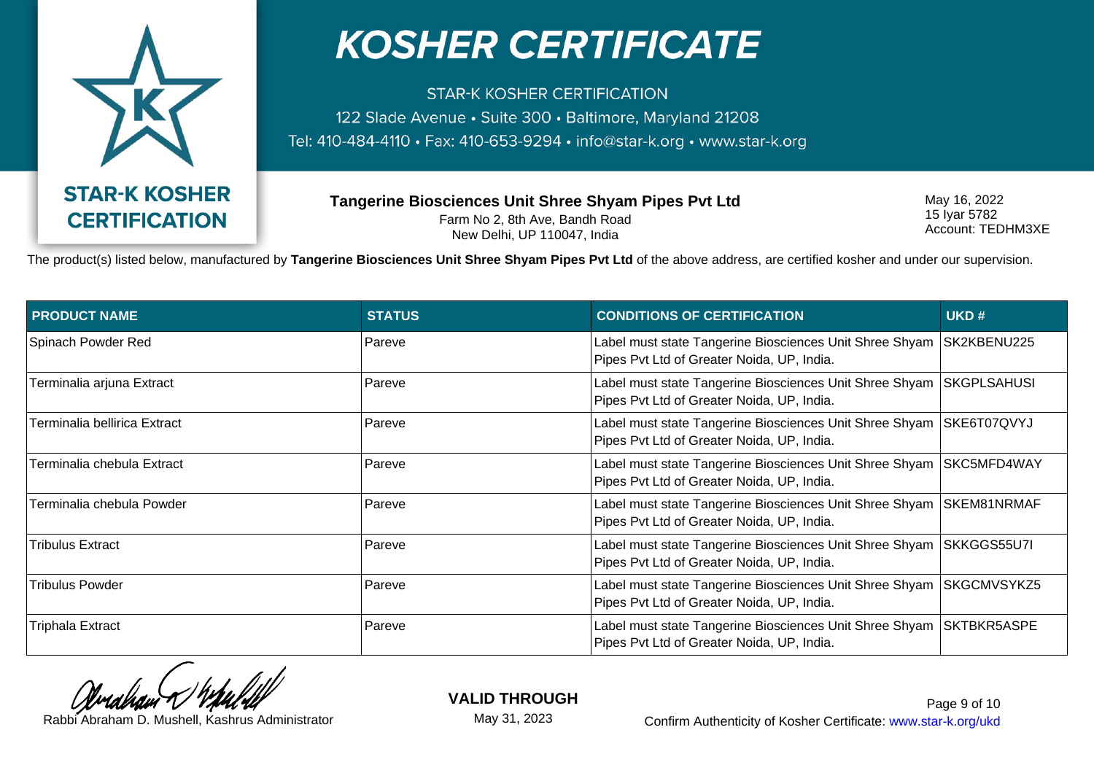

**STAR-K KOSHER CERTIFICATION** 122 Slade Avenue · Suite 300 · Baltimore, Maryland 21208 Tel: 410-484-4110 · Fax: 410-653-9294 · info@star-k.org · www.star-k.org

**Tangerine Biosciences Unit Shree Shyam Pipes Pvt Ltd** Farm No 2, 8th Ave, Bandh Road New Delhi, UP 110047, India

May 16, 2022 15 Iyar 5782 Account: TEDHM3XE

The product(s) listed below, manufactured by **Tangerine Biosciences Unit Shree Shyam Pipes Pvt Ltd** of the above address, are certified kosher and under our supervision.

| <b>PRODUCT NAME</b>          | <b>STATUS</b> | <b>CONDITIONS OF CERTIFICATION</b>                                                                                | UKD#               |
|------------------------------|---------------|-------------------------------------------------------------------------------------------------------------------|--------------------|
| Spinach Powder Red           | Pareve        | Label must state Tangerine Biosciences Unit Shree Shyam<br>Pipes Pvt Ltd of Greater Noida, UP, India.             | SK2KBENU225        |
| Terminalia arjuna Extract    | Pareve        | Label must state Tangerine Biosciences Unit Shree Shyam<br>Pipes Pvt Ltd of Greater Noida, UP, India.             | <b>SKGPLSAHUSI</b> |
| Terminalia bellirica Extract | Pareve        | Label must state Tangerine Biosciences Unit Shree Shyam SKE6T07QVYJ<br>Pipes Pvt Ltd of Greater Noida, UP, India. |                    |
| Terminalia chebula Extract   | Pareve        | Label must state Tangerine Biosciences Unit Shree Shyam<br>Pipes Pvt Ltd of Greater Noida, UP, India.             | SKC5MFD4WAY        |
| Terminalia chebula Powder    | Pareve        | Label must state Tangerine Biosciences Unit Shree Shyam<br>Pipes Pvt Ltd of Greater Noida, UP, India.             | SKEM81NRMAF        |
| <b>Tribulus Extract</b>      | Pareve        | Label must state Tangerine Biosciences Unit Shree Shyam SKKGGS55U7I<br>Pipes Pvt Ltd of Greater Noida, UP, India. |                    |
| <b>Tribulus Powder</b>       | Pareve        | Label must state Tangerine Biosciences Unit Shree Shyam<br>Pipes Pvt Ltd of Greater Noida, UP, India.             | SKGCMVSYKZ5        |
| <b>Triphala Extract</b>      | Pareve        | Label must state Tangerine Biosciences Unit Shree Shyam SKTBKR5ASPE<br>Pipes Pvt Ltd of Greater Noida, UP, India. |                    |